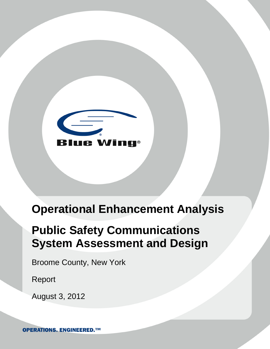

# **Operational Enhancement Analysis**

# **Public Safety Communications System Assessment and Design**

Broome County, New York

Report

August 3, 2012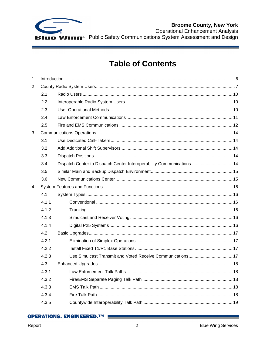

**Table of Contents** 

| 1              |       |                                                                        |  |
|----------------|-------|------------------------------------------------------------------------|--|
| $\overline{2}$ |       |                                                                        |  |
|                | 2.1   |                                                                        |  |
|                | 2.2   |                                                                        |  |
|                | 2.3   |                                                                        |  |
|                | 2.4   |                                                                        |  |
|                | 2.5   |                                                                        |  |
| 3              |       |                                                                        |  |
|                | 3.1   |                                                                        |  |
|                | 3.2   |                                                                        |  |
|                | 3.3   |                                                                        |  |
|                | 3.4   | Dispatch Center to Dispatch Center Interoperability Communications  14 |  |
|                | 3.5   |                                                                        |  |
|                | 3.6   |                                                                        |  |
| 4              |       |                                                                        |  |
|                | 4.1   |                                                                        |  |
|                | 4.1.1 |                                                                        |  |
|                | 4.1.2 |                                                                        |  |
|                | 4.1.3 |                                                                        |  |
|                | 4.1.4 |                                                                        |  |
|                | 4.2   |                                                                        |  |
|                | 4.2.1 |                                                                        |  |
|                | 4.2.2 |                                                                        |  |
|                | 4.2.3 |                                                                        |  |
|                | 4.3   |                                                                        |  |
|                | 4.3.1 |                                                                        |  |
|                | 4.3.2 |                                                                        |  |
|                | 4.3.3 |                                                                        |  |
|                | 4.3.4 |                                                                        |  |
|                | 4.3.5 |                                                                        |  |
|                |       |                                                                        |  |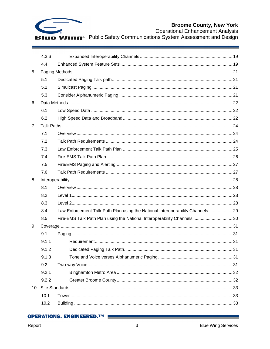

|    | 4.3.6 |                                                                                 |  |
|----|-------|---------------------------------------------------------------------------------|--|
|    | 4.4   |                                                                                 |  |
| 5  |       |                                                                                 |  |
|    | 5.1   |                                                                                 |  |
|    | 5.2   |                                                                                 |  |
|    | 5.3   |                                                                                 |  |
| 6  |       |                                                                                 |  |
|    | 6.1   |                                                                                 |  |
|    | 6.2   |                                                                                 |  |
| 7  |       |                                                                                 |  |
|    | 7.1   |                                                                                 |  |
|    | 7.2   |                                                                                 |  |
|    | 7.3   |                                                                                 |  |
|    | 7.4   |                                                                                 |  |
|    | 7.5   |                                                                                 |  |
|    | 7.6   |                                                                                 |  |
| 8  |       |                                                                                 |  |
|    | 8.1   |                                                                                 |  |
|    | 8.2   |                                                                                 |  |
|    | 8.3   |                                                                                 |  |
|    | 8.4   | Law Enforcement Talk Path Plan using the National Interoperability Channels  29 |  |
|    | 8.5   | Fire-EMS Talk Path Plan using the National Interoperability Channels  30        |  |
| 9  |       |                                                                                 |  |
|    | 9.1   |                                                                                 |  |
|    | 9.1.1 |                                                                                 |  |
|    | 9.1.2 |                                                                                 |  |
|    | 9.1.3 |                                                                                 |  |
|    | 9.2   |                                                                                 |  |
|    | 9.2.1 |                                                                                 |  |
|    | 9.2.2 |                                                                                 |  |
| 10 |       |                                                                                 |  |
|    | 10.1  |                                                                                 |  |
|    | 10.2  |                                                                                 |  |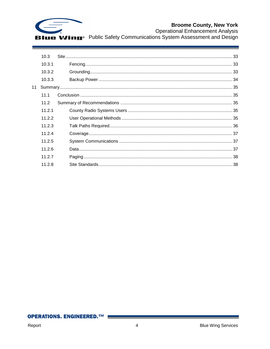

|    | 10.3   |  |
|----|--------|--|
|    | 10.3.1 |  |
|    | 10.3.2 |  |
|    | 10.3.3 |  |
| 11 |        |  |
|    | 111    |  |
|    | 11.2   |  |
|    | 11.2.1 |  |
|    | 11.2.2 |  |
|    | 11.2.3 |  |
|    | 11.2.4 |  |
|    | 11.2.5 |  |
|    | 11.2.6 |  |
|    | 11.2.7 |  |
|    | 11.2.8 |  |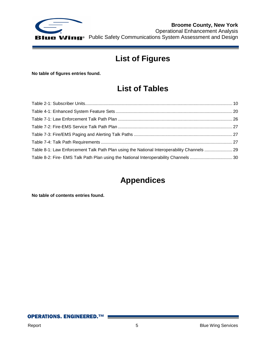

**Broome County, New York** Operational Enhancement Analysis **ue Wing**<sup>®</sup> Public Safety Communications System Assessment and Design

# **List of Figures**

**No table of figures entries found.**

## **List of Tables**

| Table 8-1: Law Enforcement Talk Path Plan using the National Interoperability Channels  29 |  |
|--------------------------------------------------------------------------------------------|--|
| Table 8-2: Fire- EMS Talk Path Plan using the National Interoperability Channels 30        |  |

## **Appendices**

**No table of contents entries found.**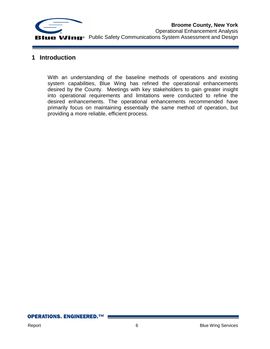

#### <span id="page-5-0"></span>**1 Introduction**

With an understanding of the baseline methods of operations and existing system capabilities, Blue Wing has refined the operational enhancements desired by the County. Meetings with key stakeholders to gain greater insight into operational requirements and limitations were conducted to refine the desired enhancements. The operational enhancements recommended have primarily focus on maintaining essentially the same method of operation, but providing a more reliable, efficient process.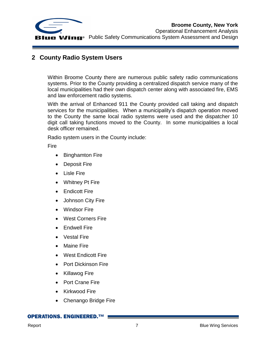

### <span id="page-6-0"></span>**2 County Radio System Users**

Within Broome County there are numerous public safety radio communications systems. Prior to the County providing a centralized dispatch service many of the local municipalities had their own dispatch center along with associated fire, EMS and law enforcement radio systems.

With the arrival of Enhanced 911 the County provided call taking and dispatch services for the municipalities. When a municipality's dispatch operation moved to the County the same local radio systems were used and the dispatcher 10 digit call taking functions moved to the County. In some municipalities a local desk officer remained.

Radio system users in the County include:

Fire

- Binghamton Fire
- Deposit Fire
- Lisle Fire
- Whitney Pt Fire
- Endicott Fire
- Johnson City Fire
- Windsor Fire
- West Corners Fire
- Endwell Fire
- Vestal Fire
- Maine Fire
- West Endicott Fire
- Port Dickinson Fire
- Killawog Fire
- Port Crane Fire
- Kirkwood Fire
- Chenango Bridge Fire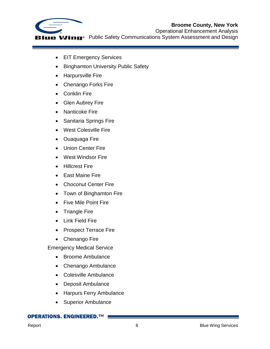

- EIT Emergency Services
- Binghamton University Public Safety
- Harpursville Fire
- Chenango Forks Fire
- Conklin Fire
- Glen Aubrey Fire
- Nanticoke Fire
- Sanitaria Springs Fire
- West Colesville Fire
- Ouaquaga Fire
- Union Center Fire
- West Windsor Fire
- **•** Hillcrest Fire
- East Maine Fire
- Choconut Center Fire
- Town of Binghamton Fire
- Five Mile Point Fire
- Triangle Fire
- Link Field Fire
- Prospect Terrace Fire
- Chenango Fire

Emergency Medical Service

- Broome Ambulance
- Chenango Ambulance
- Colesville Ambulance
- Deposit Ambulance
- Harpurs Ferry Ambulance
- Superior Ambulance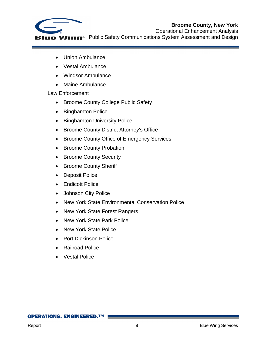

Operational Enhancement Analysis **LIE Wing**<sup>®</sup> Public Safety Communications System Assessment and Design

- Union Ambulance
- Vestal Ambulance
- Windsor Ambulance
- Maine Ambulance

#### Law Enforcement

- Broome County College Public Safety
- Binghamton Police
- Binghamton University Police
- Broome County District Attorney's Office
- Broome County Office of Emergency Services
- Broome County Probation
- Broome County Security
- Broome County Sheriff
- Deposit Police
- Endicott Police
- Johnson City Police
- New York State Environmental Conservation Police
- New York State Forest Rangers
- New York State Park Police
- New York State Police
- Port Dickinson Police
- Railroad Police
- Vestal Police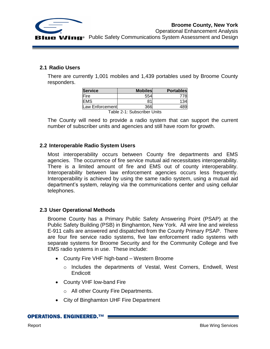



Operational Enhancement Analysis

#### <span id="page-9-0"></span>**2.1 Radio Users**

There are currently 1,001 mobiles and 1,439 portables used by Broome County responders.

| <b>Service</b>  | <b>Mobiles</b> | <b>Portables</b> |
|-----------------|----------------|------------------|
| Fire            | 554            |                  |
| <b>EMS</b>      | 81             | 134              |
| Law Enforcement | 366            |                  |

Table 2-1: Subscriber Units

<span id="page-9-3"></span>The County will need to provide a radio system that can support the current number of subscriber units and agencies and still have room for growth.

#### <span id="page-9-1"></span>**2.2 Interoperable Radio System Users**

Most interoperability occurs between County fire departments and EMS agencies. The occurrence of fire service mutual aid necessitates interoperability. There is a limited amount of fire and EMS out of county interoperability. Interoperability between law enforcement agencies occurs less frequently. Interoperability is achieved by using the same radio system, using a mutual aid department's system, relaying via the communications center and using cellular telephones.

#### <span id="page-9-2"></span>**2.3 User Operational Methods**

Broome County has a Primary Public Safety Answering Point (PSAP) at the Public Safety Building (PSB) in Binghamton, New York. All wire line and wireless E-911 calls are answered and dispatched from the County Primary PSAP. There are four fire service radio systems, five law enforcement radio systems with separate systems for Broome Security and for the Community College and five EMS radio systems in use. These include:

- County Fire VHF high-band Western Broome
	- o Includes the departments of Vestal, West Corners, Endwell, West **Endicott**
- County VHF low-band Fire
	- o All other County Fire Departments.
- City of Binghamton UHF Fire Department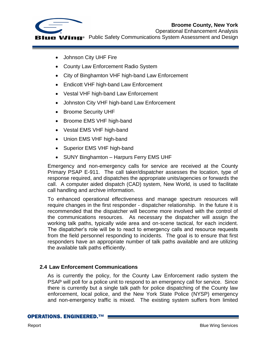

- Johnson City UHF Fire
- County Law Enforcement Radio System
- City of Binghamton VHF high-band Law Enforcement
- Endicott VHF high-band Law Enforcement
- Vestal VHF high-band Law Enforcement
- Johnston City VHF high-band Law Enforcement
- Broome Security UHF
- Broome EMS VHF high-band
- Vestal EMS VHF high-band
- Union EMS VHF high-band
- Superior EMS VHF high-band
- SUNY Binghamton Harpurs Ferry EMS UHF

Emergency and non-emergency calls for service are received at the County Primary PSAP E-911. The call taker/dispatcher assesses the location, type of response required, and dispatches the appropriate units/agencies or forwards the call. A computer aided dispatch (CAD) system, New World, is used to facilitate call handling and archive information.

To enhanced operational effectiveness and manage spectrum resources will require changes in the first responder - dispatcher relationship. In the future it is recommended that the dispatcher will become more involved with the control of the communications resources. As necessary the dispatcher will assign the working talk paths, typically wide area and on-scene tactical, for each incident. The dispatcher's role will be to react to emergency calls and resource requests from the field personnel responding to incidents. The goal is to ensure that first responders have an appropriate number of talk paths available and are utilizing the available talk paths efficiently.

#### <span id="page-10-0"></span>**2.4 Law Enforcement Communications**

As is currently the policy, for the County Law Enforcement radio system the PSAP will poll for a police unit to respond to an emergency call for service. Since there is currently but a single talk path for police dispatching of the County law enforcement, local police, and the New York State Police (NYSP) emergency and non-emergency traffic is mixed. The existing system suffers from limited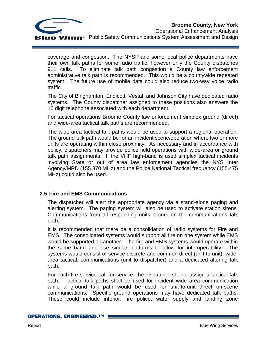

coverage and congestion. The NYSP and some local police departments have their own talk paths for some radio traffic, however only the County dispatches 911 calls. To eliminate talk path congestion a County law enforcement administrative talk path is recommended. This would be a countywide repeated system. The future use of mobile data could also reduce two-way voice radio traffic.

The City of Binghamton, Endicott, Vestal, and Johnson City have dedicated radio systems. The County dispatcher assigned to these positions also answers the 10 digit telephone associated with each department.

For tactical operations Broome County law enforcement simplex ground (direct) and wide-area tactical talk paths are recommended.

The wide-area tactical talk paths would be used to support a regional operation. The ground talk path would be for an incident scene/operation where two or more units are operating within close proximity. As necessary and in accordance with policy, dispatchers may provide police field operations with wide-area or ground talk path assignments. If the VHF high-band is used simplex tactical incidents involving State or out of area law enforcement agencies the NYS Inter Agency/MRD (155.370 MHz) and the Police National Tactical frequency (155.475 MHz) could also be used.

#### <span id="page-11-0"></span>**2.5 Fire and EMS Communications**

The dispatcher will alert the appropriate agency via a stand-alone paging and alerting system. The paging system will also be used to activate station sirens. Communications from all responding units occurs on the communications talk path.

It is recommended that there be a consolidation of radio systems for Fire and EMS. The consolidated systems would support all fire on one system while EMS would be supported on another. The fire and EMS systems would operate within the same band and use similar platforms to allow for interoperability. The systems would consist of service discrete and common direct (unit to unit), widearea tactical, communications (unit to dispatcher) and a dedicated altering talk path.

For each fire service call for service, the dispatcher should assign a tactical talk path. Tactical talk paths shall be used for incident wide area communication while a ground talk path would be used for unit-to-unit direct on-scene communications. Specific ground operations may have dedicated talk paths. These could include interior, fire police, water supply and landing zone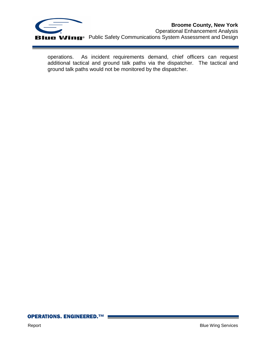

operations. As incident requirements demand, chief officers can request additional tactical and ground talk paths via the dispatcher. The tactical and ground talk paths would not be monitored by the dispatcher.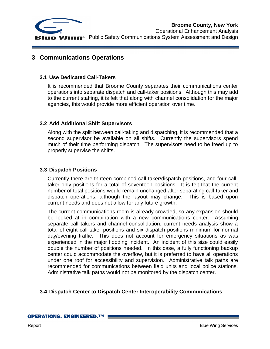

#### <span id="page-13-0"></span>**3 Communications Operations**

#### <span id="page-13-1"></span>**3.1 Use Dedicated Call-Takers**

It is recommended that Broome County separates their communications center operations into separate dispatch and call-taker positions. Although this may add to the current staffing, it is felt that along with channel consolidation for the major agencies, this would provide more efficient operation over time.

#### <span id="page-13-2"></span>**3.2 Add Additional Shift Supervisors**

Along with the split between call-taking and dispatching, it is recommended that a second supervisor be available on all shifts. Currently the supervisors spend much of their time performing dispatch. The supervisors need to be freed up to properly supervise the shifts.

#### <span id="page-13-3"></span>**3.3 Dispatch Positions**

Currently there are thirteen combined call-taker/dispatch positions, and four calltaker only positions for a total of seventeen positions. It is felt that the current number of total positions would remain unchanged after separating call-taker and dispatch operations, although the layout may change. This is based upon current needs and does not allow for any future growth.

The current communications room is already crowded, so any expansion should be looked at in combination with a new communications center. Assuming separate call takers and channel consolidation, current needs analysis show a total of eight call-taker positions and six dispatch positions minimum for normal day/evening traffic. This does not account for emergency situations as was experienced in the major flooding incident. An incident of this size could easily double the number of positions needed. In this case, a fully functioning backup center could accommodate the overflow, but it is preferred to have all operations under one roof for accessibility and supervision. Administrative talk paths are recommended for communications between field units and local police stations. Administrative talk paths would not be monitored by the dispatch center.

#### <span id="page-13-4"></span>**3.4 Dispatch Center to Dispatch Center Interoperability Communications**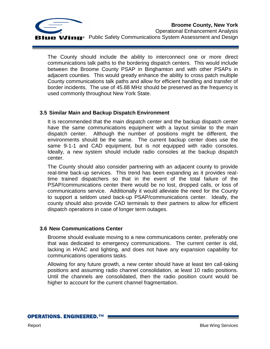

The County should include the ability to interconnect one or more direct communications talk paths to the bordering dispatch centers. This would include between the Broome County PSAP in Binghamton and with other PSAPs in adjacent counties. This would greatly enhance the ability to cross patch multiple County communications talk paths and allow for efficient handling and transfer of border incidents. The use of 45.88 MHz should be preserved as the frequency is used commonly throughout New York State.

#### <span id="page-14-0"></span>**3.5 Similar Main and Backup Dispatch Environment**

It is recommended that the main dispatch center and the backup dispatch center have the same communications equipment with a layout similar to the main dispatch center. Although the number of positions might be different, the environments should be the same. The current backup center does use the same 9-1-1 and CAD equipment, but is not equipped with radio consoles. Ideally, a new system should include radio consoles at the backup dispatch center.

The County should also consider partnering with an adjacent county to provide real-time back-up services. This trend has been expanding as it provides realtime trained dispatchers so that in the event of the total failure of the PSAP/communications center there would be no lost, dropped calls, or loss of communications service. Additionally it would alleviate the need for the County to support a seldom used back-up PSAP/communications center. Ideally, the county should also provide CAD terminals to their partners to allow for efficient dispatch operations in case of longer term outages.

#### <span id="page-14-1"></span>**3.6 New Communications Center**

Broome should evaluate moving to a new communications center, preferably one that was dedicated to emergency communications. The current center is old, lacking in HVAC and lighting, and does not have any expansion capability for communications operations tasks.

Allowing for any future growth, a new center should have at least ten call-taking positions and assuming radio channel consolidation, at least 10 radio positions. Until the channels are consolidated, then the radio position count would be higher to account for the current channel fragmentation.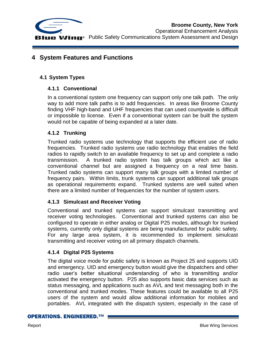

**Broome County, New York** Operational Enhancement Analysis **LIE Wing**<sup>®</sup> Public Safety Communications System Assessment and Design

#### <span id="page-15-0"></span>**4 System Features and Functions**

#### <span id="page-15-2"></span><span id="page-15-1"></span>**4.1 System Types**

#### **4.1.1 Conventional**

In a conventional system one frequency can support only one talk path. The only way to add more talk paths is to add frequencies. In areas like Broome County finding VHF high-band and UHF frequencies that can used countywide is difficult or impossible to license. Even if a conventional system can be built the system would not be capable of being expanded at a later date.

#### <span id="page-15-3"></span>**4.1.2 Trunking**

Trunked radio systems use technology that supports the efficient use of radio frequencies. Trunked radio systems use radio technology that enables the field radios to rapidly switch to an available frequency to set up and complete a radio transmission. A trunked radio system has talk groups which act like a conventional channel but are assigned a frequency on a real time basis. Trunked radio systems can support many talk groups with a limited number of frequency pairs. Within limits, trunk systems can support additional talk groups as operational requirements expand. Trunked systems are well suited when there are a limited number of frequencies for the number of system users.

#### <span id="page-15-4"></span>**4.1.3 Simulcast and Receiver Voting**

Conventional and trunked systems can support simulcast transmitting and receiver voting technologies. Conventional and trunked systems can also be configured to operate in either analog or Digital P25 modes, although for trunked systems, currently only digital systems are being manufactured for public safety. For any large area system, it is recommended to implement simulcast transmitting and receiver voting on all primary dispatch channels.

#### <span id="page-15-5"></span>**4.1.4 Digital P25 Systems**

The digital voice mode for public safety is known as Project 25 and supports UID and emergency. UID and emergency button would give the dispatchers and other radio user's better situational understanding of who is transmitting and/or activated the emergency button. P25 also supports basic data services such as status messaging, and applications such as AVL and text messaging both in the conventional and trunked modes. These features could be available to all P25 users of the system and would allow additional information for mobiles and portables. AVL integrated with the dispatch system, especially in the case of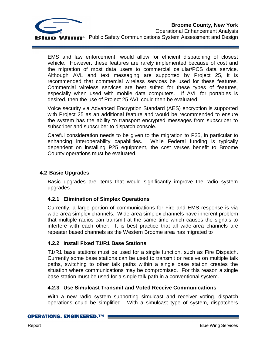

EMS and law enforcement, would allow for efficient dispatching of closest vehicle. However, these features are rarely implemented because of cost and the migration of most data users to commercial cellular/PCS data service. Although AVL and text messaging are supported by Project 25, it is recommended that commercial wireless services be used for these features. Commercial wireless services are best suited for these types of features, especially when used with mobile data computers. If AVL for portables is desired, then the use of Project 25 AVL could then be evaluated.

Voice security via Advanced Encryption Standard (AES) encryption is supported with Project 25 as an additional feature and would be recommended to ensure the system has the ability to transport encrypted messages from subscriber to subscriber and subscriber to dispatch console.

Careful consideration needs to be given to the migration to P25, in particular to enhancing interoperability capabilities. While Federal funding is typically dependent on installing P25 equipment, the cost verses benefit to Broome County operations must be evaluated.

#### <span id="page-16-0"></span>**4.2 Basic Upgrades**

Basic upgrades are items that would significantly improve the radio system upgrades.

#### <span id="page-16-1"></span>**4.2.1 Elimination of Simplex Operations**

Currently, a large portion of communications for Fire and EMS response is via wide-area simplex channels. Wide-area simplex channels have inherent problem that multiple radios can transmit at the same time which causes the signals to interfere with each other. It is best practice that all wide-area channels are repeater based channels as the Western Broome area has migrated to

#### <span id="page-16-2"></span>**4.2.2 Install Fixed T1/R1 Base Stations**

T1/R1 base stations must be used for a single function, such as Fire Dispatch. Currently some base stations can be used to transmit or receive on multiple talk paths, switching to other talk paths within a single base station creates the situation where communications may be compromised. For this reason a single base station must be used for a single talk path in a conventional system.

#### <span id="page-16-3"></span>**4.2.3 Use Simulcast Transmit and Voted Receive Communications**

With a new radio system supporting simulcast and receiver voting, dispatch operations could be simplified. With a simulcast type of system, dispatchers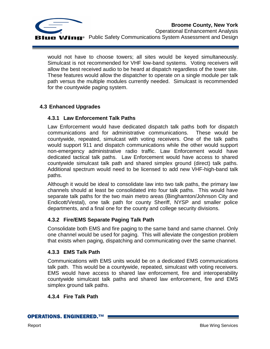

would not have to choose towers; all sites would be keyed simultaneously. Simulcast is not recommended for VHF low-band systems. Voting receivers will allow the best received audio to be heard at dispatch regardless of the tower site. These features would allow the dispatcher to operate on a single module per talk path versus the multiple modules currently needed. Simulcast is recommended for the countywide paging system.

#### <span id="page-17-1"></span><span id="page-17-0"></span>**4.3 Enhanced Upgrades**

#### **4.3.1 Law Enforcement Talk Paths**

Law Enforcement would have dedicated dispatch talk paths both for dispatch communications and for administrative communications. These would be countywide, repeated, simulcast with voting receivers. One of the talk paths would support 911 and dispatch communications while the other would support non-emergency administrative radio traffic. Law Enforcement would have dedicated tactical talk paths. Law Enforcement would have access to shared countywide simulcast talk path and shared simplex ground (direct) talk paths. Additional spectrum would need to be licensed to add new VHF-high-band talk paths.

Although it would be ideal to consolidate law into two talk paths, the primary law channels should at least be consolidated into four talk paths. This would have separate talk paths for the two main metro areas (Binghamton/Johnson City and Endicott/Vestal), one talk path for county Sheriff, NYSP and smaller police departments, and a final one for the county and college security divisions.

#### <span id="page-17-2"></span>**4.3.2 Fire/EMS Separate Paging Talk Path**

Consolidate both EMS and fire paging to the same band and same channel. Only one channel would be used for paging. This will alleviate the congestion problem that exists when paging, dispatching and communicating over the same channel.

#### <span id="page-17-3"></span>**4.3.3 EMS Talk Path**

Communications with EMS units would be on a dedicated EMS communications talk path. This would be a countywide, repeated, simulcast with voting receivers. EMS would have access to shared law enforcement, fire and interoperability countywide simulcast talk paths and shared law enforcement, fire and EMS simplex ground talk paths.

#### <span id="page-17-4"></span>**4.3.4 Fire Talk Path**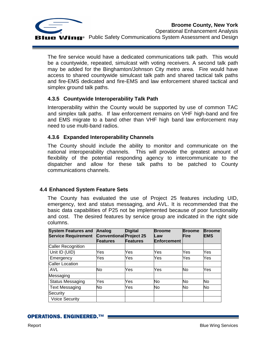

The fire service would have a dedicated communications talk path. This would be a countywide, repeated, simulcast with voting receivers. A second talk path may be added for the Binghamton/Johnson City metro area. Fire would have access to shared countywide simulcast talk path and shared tactical talk paths and fire-EMS dedicated and fire-EMS and law enforcement shared tactical and simplex ground talk paths.

#### <span id="page-18-0"></span>**4.3.5 Countywide Interoperability Talk Path**

Interoperability within the County would be supported by use of common TAC and simplex talk paths. If law enforcement remains on VHF high-band and fire and EMS migrate to a band other than VHF high band law enforcement may need to use multi-band radios.

#### <span id="page-18-1"></span>**4.3.6 Expanded Interoperability Channels**

The County should include the ability to monitor and communicate on the national interoperability channels. This will provide the greatest amount of flexibility of the potential responding agency to intercommunicate to the dispatcher and allow for these talk paths to be patched to County communications channels.

#### <span id="page-18-2"></span>**4.4 Enhanced System Feature Sets**

The County has evaluated the use of Project 25 features including UID, emergency, text and status messaging, and AVL. It is recommended that the basic data capabilities of P25 not be implemented because of poor functionality and cost. The desired features by service group are indicated in the right side columns.

| <b>System Features and</b><br><b>Service Requirement</b> | Analog<br><b>Conventional Project 25</b><br><b>Features</b> | <b>Digital</b><br><b>Features</b> | <b>Broome</b><br>Law<br><b>Enforcement</b> | <b>Broome</b><br>Fire | <b>Broome</b><br><b>EMS</b> |
|----------------------------------------------------------|-------------------------------------------------------------|-----------------------------------|--------------------------------------------|-----------------------|-----------------------------|
| <b>Caller Recognition</b>                                |                                                             |                                   |                                            |                       |                             |
| Unit ID (UID)                                            | Yes                                                         | Yes                               | Yes                                        | Yes                   | Yes                         |
| Emergency                                                | Yes                                                         | Yes                               | Yes                                        | Yes                   | Yes                         |
| <b>Caller Location</b>                                   |                                                             |                                   |                                            |                       |                             |
| AVL                                                      | No                                                          | Yes                               | Yes                                        | No                    | Yes                         |
| Messaging                                                |                                                             |                                   |                                            |                       |                             |
| <b>Status Messaging</b>                                  | Yes                                                         | Yes                               | <b>No</b>                                  | No                    | No                          |
| <b>Text Messaging</b>                                    | No                                                          | Yes                               | No                                         | No                    | No                          |
| Security                                                 |                                                             |                                   |                                            |                       |                             |
| <b>Voice Security</b>                                    |                                                             |                                   |                                            |                       |                             |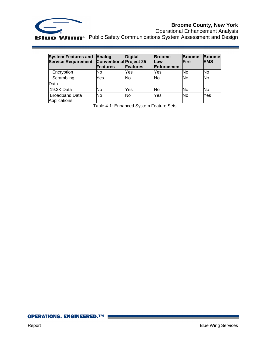

### **Broome County, New York**

Operational Enhancement Analysis Public Safety Communications System Assessment and Design

<span id="page-19-0"></span>

| <b>System Features and</b><br><b>Service Requirement</b> | Analog<br><b>Conventional Project 25</b><br><b>Features</b> | <b>Digital</b><br>Features | <b>Broome</b><br>Law<br><b>Enforcement</b> | <b>Broome</b><br><b>Fire</b> | <b>Broome</b><br><b>EMS</b> |
|----------------------------------------------------------|-------------------------------------------------------------|----------------------------|--------------------------------------------|------------------------------|-----------------------------|
| Encryption                                               | No                                                          | Yes                        | Yes                                        | <b>No</b>                    | No                          |
| Scrambling                                               | Yes                                                         | No                         | No                                         | No                           | No                          |
| Data                                                     |                                                             |                            |                                            |                              |                             |
| 19.2K Data                                               | No                                                          | Yes                        | No                                         | <b>No</b>                    | No                          |
| <b>Broadband Data</b><br>Applications                    | No                                                          | No                         | Yes                                        | No                           | Yes                         |

Table 4-1: Enhanced System Feature Sets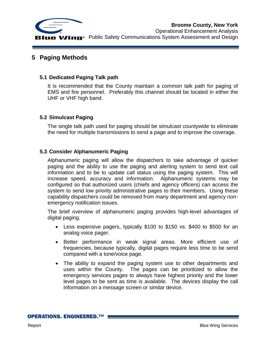

#### <span id="page-20-0"></span>**5 Paging Methods**

#### <span id="page-20-1"></span>**5.1 Dedicated Paging Talk path**

It is recommended that the County maintain a common talk path for paging of EMS and fire personnel. Preferably this channel should be located in either the UHF or VHF high band.

#### <span id="page-20-2"></span>**5.2 Simulcast Paging**

The single talk path used for paging should be simulcast countywide to eliminate the need for multiple transmissions to send a page and to improve the coverage.

#### <span id="page-20-3"></span>**5.3 Consider Alphanumeric Paging**

Alphanumeric paging will allow the dispatchers to take advantage of quicker paging and the ability to use the paging and alerting system to send text call information and to be to update call status using the paging system. This will increase speed, accuracy and information. Alphanumeric systems may be configured so that authorized users (chiefs and agency officers) can access the system to send low priority administrative pages to their members. Using these capability dispatchers could be removed from many department and agency nonemergency notification issues.

The brief overview of alphanumeric paging provides high-level advantages of digital paging.

- Less expensive pagers, typically \$100 to \$150 vs. \$400 to \$500 for an analog voice pager.
- Better performance in weak signal areas. More efficient use of frequencies, because typically, digital pages require less time to be send compared with a tone/voice page.
- The ability to expand the paging system use to other departments and uses within the County. The pages can be prioritized to allow the emergency services pages to always have highest priority and the lower level pages to be sent as time is available. The devices display the call information on a message screen or similar device.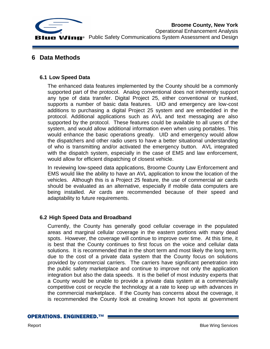

#### <span id="page-21-0"></span>**6 Data Methods**

#### <span id="page-21-1"></span>**6.1 Low Speed Data**

The enhanced data features implemented by the County should be a commonly supported part of the protocol. Analog conventional does not inherently support any type of data transfer. Digital Project 25, either conventional or trunked, supports a number of basic data features. UID and emergency are low-cost additions to purchasing a digital Project 25 system and are embedded in the protocol. Additional applications such as AVL and text messaging are also supported by the protocol. These features could be available to all users of the system, and would allow additional information even when using portables. This would enhance the basic operations greatly. UID and emergency would allow the dispatchers and other radio users to have a better situational understanding of who is transmitting and/or activated the emergency button. AVL integrated with the dispatch system, especially in the case of EMS and law enforcement, would allow for efficient dispatching of closest vehicle.

In reviewing low-speed data applications, Broome County Law Enforcement and EMS would like the ability to have an AVL application to know the location of the vehicles. Although this is a Project 25 feature, the use of commercial air cards should be evaluated as an alternative, especially if mobile data computers are being installed. Air cards are recommended because of their speed and adaptability to future requirements.

#### <span id="page-21-2"></span>**6.2 High Speed Data and Broadband**

Currently, the County has generally good cellular coverage in the populated areas and marginal cellular coverage in the eastern portions with many dead spots. However, the coverage will continue to improve over time. At this time, it is best that the County continues to first focus on the voice and cellular data solutions. It is recommended that in the short term and most likely the long term, due to the cost of a private data system that the County focus on solutions provided by commercial carriers. The carriers have significant penetration into the public safety marketplace and continue to improve not only the application integration but also the data speeds. It is the belief of most industry experts that a County would be unable to provide a private data system at a commercially competitive cost or recycle the technology at a rate to keep up with advances in the commercial marketplace. If the County has concerns about the coverage, it is recommended the County look at creating known hot spots at government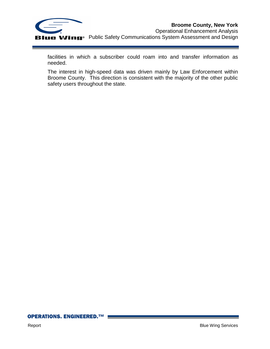

facilities in which a subscriber could roam into and transfer information as needed.

The interest in high-speed data was driven mainly by Law Enforcement within Broome County. This direction is consistent with the majority of the other public safety users throughout the state.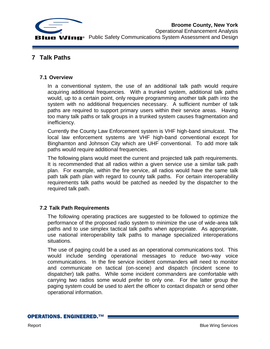

#### <span id="page-23-0"></span>**7 Talk Paths**

#### <span id="page-23-1"></span>**7.1 Overview**

In a conventional system, the use of an additional talk path would require acquiring additional frequencies. With a trunked system, additional talk paths would, up to a certain point, only require programming another talk path into the system with no additional frequencies necessary. A sufficient number of talk paths are required to support primary users within their service areas. Having too many talk paths or talk groups in a trunked system causes fragmentation and inefficiency.

Currently the County Law Enforcement system is VHF high-band simulcast. The local law enforcement systems are VHF high-band conventional except for Binghamton and Johnson City which are UHF conventional. To add more talk paths would require additional frequencies.

The following plans would meet the current and projected talk path requirements. It is recommended that all radios within a given service use a similar talk path plan. For example, within the fire service, all radios would have the same talk path talk path plan with regard to county talk paths. For certain interoperability requirements talk paths would be patched as needed by the dispatcher to the required talk path.

#### <span id="page-23-2"></span>**7.2 Talk Path Requirements**

The following operating practices are suggested to be followed to optimize the performance of the proposed radio system to minimize the use of wide-area talk paths and to use simplex tactical talk paths when appropriate. As appropriate, use national interoperability talk paths to manage specialized interoperations situations.

The use of paging could be a used as an operational communications tool. This would include sending operational messages to reduce two-way voice communications. In the fire service incident commanders will need to monitor and communicate on tactical (on-scene) and dispatch (incident scene to dispatcher) talk paths. While some incident commanders are comfortable with carrying two radios some would prefer to only one. For the latter group the paging system could be used to alert the officer to contact dispatch or send other operational information.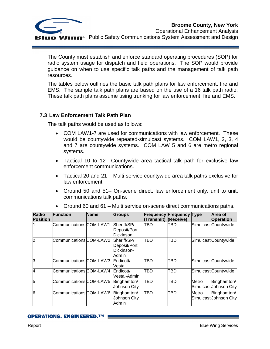

The County must establish and enforce standard operating procedures (SOP) for radio system usage for dispatch and field operations. The SOP would provide guidance on when to use specific talk paths and the management of talk path resources.

The tables below outlines the basic talk path plans for law enforcement, fire and EMS. The sample talk path plans are based on the use of a 16 talk path radio. These talk path plans assume using trunking for law enforcement, fire and EMS.

#### <span id="page-24-0"></span>**7.3 Law Enforcement Talk Path Plan**

The talk paths would be used as follows:

- COM LAW1-7 are used for communications with law enforcement. These would be countywide repeated-simulcast systems. COM LAW1, 2, 3, 4 and 7 are countywide systems. COM LAW 5 and 6 are metro regional systems.
- Tactical 10 to 12– Countywide area tactical talk path for exclusive law enforcement communications.
- Tactical 20 and 21 Multi service countywide area talk paths exclusive for law enforcement.
- Ground 50 and 51– On-scene direct, law enforcement only, unit to unit, communications talk paths.

| <b>Radio</b><br><b>Position</b> | <b>Function</b>         | <b>Name</b> | <b>Groups</b>                                      | <b>Frequency Frequency Type</b><br>(Transmit) | (Receive)  |       | Area of<br><b>Operation</b>           |
|---------------------------------|-------------------------|-------------|----------------------------------------------------|-----------------------------------------------|------------|-------|---------------------------------------|
|                                 | Communications COM-LAW1 |             | Sheriff/SP/<br>Deposit/Port<br><b>Dickinson</b>    | TBD                                           | TBD        |       | Simulcast Countywide                  |
| 12                              | Communications COM-LAW2 |             | Sheriff/SP/<br>Deposit/Port<br>Dickinson-<br>Admin | TBD                                           | TBD        |       | Simulcast Countywide                  |
| lЗ                              | Communications COM-LAW3 |             | Endicott/<br>Vestal                                | TBD                                           | TBD        |       | Simulcast Countywide                  |
| 14                              | Communications COM-LAW4 |             | Endicott/<br>Vestal-Admin                          | TBD                                           | <b>TBD</b> |       | Simulcast Countywide                  |
| 5                               | Communications COM-LAW5 |             | Binghamton/<br>Johnson City                        | TBD                                           | <b>TBD</b> | Metro | Binghamton/<br>Simulcast Johnson City |
| 6                               | Communications COM-LAW6 |             | Binghamton/<br>Johnson City<br>Admin               | TBD                                           | <b>TBD</b> | Metro | Binghamton/<br>Simulcast Johnson City |

Ground 60 and 61 – Multi service on-scene direct communications paths.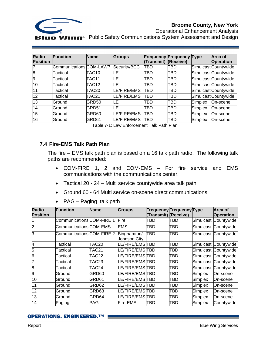

#### **Broome County, New York**

Operational Enhancement Analysis **ue Wing**<sup>®</sup> Public Safety Communications System Assessment and Design

| <b>Radio</b>    | <b>Function</b>         | <b>Name</b>       | <b>Groups</b> | <b>Frequency Frequency Type</b> |           |                | Area of              |
|-----------------|-------------------------|-------------------|---------------|---------------------------------|-----------|----------------|----------------------|
| <b>Position</b> |                         |                   |               | (Transmit)                      | (Receive) |                | <b>Operation</b>     |
|                 | Communications COM-LAW7 |                   | Security/BCC  | TBD                             | TBD       |                | Simulcast Countywide |
| 8               | Tactical                | TAC10             | LE            | TBD                             | TBD       |                | Simulcast Countywide |
| 9               | Tactical                | TAC11             | LE            | TBD                             | TBD       |                | Simulcast Countywide |
| 10              | Tactical                | TAC <sub>12</sub> | LЕ            | TBD                             | TBD       |                | Simulcast Countywide |
| 11              | Tactical                | TAC <sub>20</sub> | LE/FIRE/EMS   | TBD                             | TBD       |                | Simulcast Countywide |
| 12              | Tactical                | TAC21             | LE/FIRE/EMS   | TBD                             | TBD       |                | Simulcast Countywide |
| 13              | Ground                  | GRD50             | LE            | TBD                             | TBD       | <b>Simplex</b> | On-scene             |
| 14              | Ground                  | GRD51             | LE            | TBD                             | TBD       | <b>Simplex</b> | On-scene             |
| 15              | Ground                  | GRD60             | LE/FIRE/EMS   | TBD                             | TBD       | Simplex        | On-scene             |
| 16              | Ground                  | GRD61             | LE/FIRE/EMS   | TBD                             | TBD       | Simplex        | On-scene             |

Table 7-1: Law Enforcement Talk Path Plan

#### <span id="page-25-1"></span><span id="page-25-0"></span>**7.4 Fire-EMS Talk Path Plan**

The fire – EMS talk path plan is based on a 16 talk path radio. The following talk paths are recommended:

- COM-FIRE 1, 2 and COM-EMS For fire service and EMS communications with the communications center.
- Tactical 20 24 Multi service countywide area talk path.
- Ground 60 64 Multi service on-scene direct communications
- PAG Paging talk path

| <b>Radio</b><br><b>Position</b> | <b>Function</b>           | <b>Name</b>       | <b>Groups</b>               | (Transmit) (Receive) | <b>Frequency Frequency Type</b> |         | Area of<br><b>Operation</b> |
|---------------------------------|---------------------------|-------------------|-----------------------------|----------------------|---------------------------------|---------|-----------------------------|
|                                 | Communications COM-FIRE 1 |                   | Fire                        | TBD                  | TBD                             |         | Simulcast Countywide        |
| $\overline{2}$                  | Communications COM-EMS    |                   | <b>EMS</b>                  | TBD                  | TBD                             |         | Simulcast Countywide        |
| 3                               | Communications COM-FIRE 2 |                   | Binghamton/<br>Johnson City | TBD                  | TBD                             |         | Simulcast Countywide        |
| 4                               | Tactical                  | TAC <sub>20</sub> | LE/FIRE/EMSTBD              |                      | TBD                             |         | Simulcast Countywide        |
| 5                               | Tactical                  | TAC21             | LE/FIRE/EMSTBD              |                      | TBD                             |         | Simulcast Countywide        |
| 6                               | Tactical                  | TAC22             | LE/FIRE/EMSTBD              |                      | TBD                             |         | Simulcast Countywide        |
|                                 | Tactical                  | TAC23             | LE/FIRE/EMSTBD              |                      | TBD                             |         | Simulcast Countywide        |
| 8                               | Tactical                  | TAC24             | LE/FIRE/EMSTBD              |                      | TBD                             |         | Simulcast Countywide        |
| 9                               | Ground                    | GRD60             | LE/FIRE/EMSTBD              |                      | TBD                             | Simplex | On-scene                    |
| 10                              | Ground                    | GRD61             | LE/FIRE/EMSTBD              |                      | TBD                             | Simplex | On-scene                    |
| 11                              | Ground                    | GRD62             | LE/FIRE/EMSTBD              |                      | TBD                             | Simplex | On-scene                    |
| 12                              | Ground                    | GRD63             | LE/FIRE/EMSTBD              |                      | TBD                             | Simplex | On-scene                    |
| 13                              | Ground                    | GRD64             | LE/FIRE/EMSTBD              |                      | TBD                             | Simplex | On-scene                    |
| 14                              | Paging                    | <b>PAG</b>        | Fire-EMS                    | <b>TBD</b>           | TBD                             | Simplex | Countywide                  |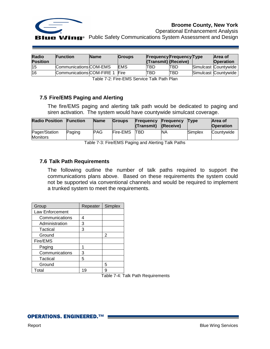

Operational Enhancement Analysis

| <b>Radio</b>    | <b>Function</b>           | <b>Name</b> | <b>Groups</b> |                      | <b>Frequency Frequency Type</b> | Area of              |
|-----------------|---------------------------|-------------|---------------|----------------------|---------------------------------|----------------------|
| <b>Position</b> |                           |             |               | (Transmit) (Receive) |                                 | <b>Operation</b>     |
| 15              | Communications COM-EMS    |             | <b>IEMS</b>   | TBD                  | ITBD                            | Simulcast Countywide |
| l16             | Communications COM-FIRE 1 |             | Fire          | TBD                  | <b>TBD</b>                      | Simulcast Countywide |

Table 7-2: Fire-EMS Service Talk Path Plan

#### <span id="page-26-2"></span><span id="page-26-0"></span>**7.5 Fire/EMS Paging and Alerting**

The fire/EMS paging and alerting talk path would be dedicated to paging and siren activation. The system would have countywide simulcast coverage.

| <b>Radio Position</b>            | <b>Function</b> | <b>Name</b> | <b>Groups</b>   | <b>Frequency</b><br>(Transmit) | <b>Frequency</b><br>(Receive) | <b>T</b> vpe | <b>Area of</b><br><b>Operation</b> |
|----------------------------------|-----------------|-------------|-----------------|--------------------------------|-------------------------------|--------------|------------------------------------|
| Pager/Station<br><b>Monitors</b> | Paging          | <b>PAG</b>  | <b>Fire-EMS</b> | <b>TBD</b>                     | <b>NA</b>                     | Simplex      | Countywide                         |

Table 7-3: Fire/EMS Paging and Alerting Talk Paths

#### <span id="page-26-3"></span><span id="page-26-1"></span>**7.6 Talk Path Requirements**

The following outline the number of talk paths required to support the communications plans above. Based on these requirements the system could not be supported via conventional channels and would be required to implement a trunked system to meet the requirements.

| Group           | Repeater | Simplex |
|-----------------|----------|---------|
| Law Enforcement |          |         |
| Communications  | 4        |         |
| Administration  | 3        |         |
| Tactical        | 3        |         |
| Ground          |          | 2       |
| Fire/EMS        |          |         |
| Paging          |          |         |
| Communications  | 3        |         |
| Tactical        | 5        |         |
| Ground          |          | 5       |
| Total           | 19       | g       |

<span id="page-26-4"></span>Table 7-4: Talk Path Requirements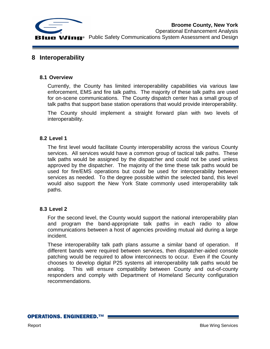

#### <span id="page-27-0"></span>**8 Interoperability**

#### <span id="page-27-1"></span>**8.1 Overview**

Currently, the County has limited interoperability capabilities via various law enforcement, EMS and fire talk paths. The majority of these talk paths are used for on-scene communications. The County dispatch center has a small group of talk paths that support base station operations that would provide interoperability.

The County should implement a straight forward plan with two levels of interoperability.

#### <span id="page-27-2"></span>**8.2 Level 1**

The first level would facilitate County interoperability across the various County services. All services would have a common group of tactical talk paths. These talk paths would be assigned by the dispatcher and could not be used unless approved by the dispatcher. The majority of the time these talk paths would be used for fire/EMS operations but could be used for interoperability between services as needed. To the degree possible within the selected band, this level would also support the New York State commonly used interoperability talk paths.

#### <span id="page-27-3"></span>**8.3 Level 2**

For the second level, the County would support the national interoperability plan and program the band-appropriate talk paths in each radio to allow communications between a host of agencies providing mutual aid during a large incident.

These interoperability talk path plans assume a similar band of operation. If different bands were required between services, then dispatcher-aided console patching would be required to allow interconnects to occur. Even if the County chooses to develop digital P25 systems all interoperability talk paths would be analog. This will ensure compatibility between County and out-of-county responders and comply with Department of Homeland Security configuration recommendations.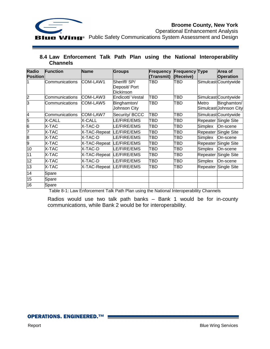

Operational Enhancement Analysis

#### <span id="page-28-0"></span>**8.4 Law Enforcement Talk Path Plan using the National Interoperability Channels**

| <b>Radio</b><br><b>Position</b> | <b>Function</b>       | <b>Name</b>  | <b>Groups</b>                                    | Frequency<br>(Transmit) | <b>Frequency Type</b><br>(Receive) |          | Area of<br><b>Operation</b>           |
|---------------------------------|-----------------------|--------------|--------------------------------------------------|-------------------------|------------------------------------|----------|---------------------------------------|
|                                 | Communications        | COM-LAW1     | Sheriff/SP/<br>Deposit/ Port<br><b>Dickinson</b> | TBD                     | TBD                                |          | Simulcast Countywide                  |
| 2                               | Communications        | COM-LAW3     | Endicott/ Vestal                                 | TBD                     | TBD                                |          | Simulcast Countywide                  |
| 3                               | <b>Communications</b> | COM-LAW5     | Binghamton/<br>Johnson City                      | TBD                     | TBD                                | Metro    | Binghamton/<br>Simulcast Johnson City |
| 4                               | Communications        | COM-LAW7     | Security/ BCCC                                   | TBD                     | TBD                                |          | Simulcast Countywide                  |
| 5                               | <b>X-CALL</b>         | X-CALL       | E/FIRE/EMS                                       | TBD                     | TBD                                |          | Repeater Single Site                  |
| 6                               | X-TAC                 | X-TAC-D      | E/FIRE/EMS                                       | TBD                     | TBD                                | Simplex  | On-scene                              |
| 7                               | X-TAC                 | X-TAC-Repeat | LE/FIRE/EMS                                      | TBD                     | TBD                                | Repeater | Single Site                           |
| 8                               | X-TAC                 | X-TAC-D      | E/FIRE/EMS                                       | TBD                     | TBD                                | Simplex  | On-scene                              |
| 9                               | X-TAC                 | X-TAC-Repeat | LE/FIRE/EMS                                      | TBD                     | TBD                                | Repeater | <b>Single Site</b>                    |
| 10                              | X-TAC                 | X-TAC-D      | LE/FIRE/EMS                                      | TBD                     | TBD                                | Simplex  | On-scene                              |
| 11                              | X-TAC                 | X-TAC-Repeat | LE/FIRE/EMS                                      | TBD                     | TBD                                | Repeater | <b>Single Site</b>                    |
| 12                              | X-TAC                 | X-TAC-D      | LE/FIRE/EMS                                      | TBD                     | TBD                                | Simplex  | On-scene                              |
| 13                              | X-TAC                 | X-TAC-Repeat | LE/FIRE/EMS                                      | TBD                     | TBD                                |          | Repeater Single Site                  |
| 14                              | Spare                 |              |                                                  |                         |                                    |          |                                       |
| 15                              | Spare                 |              |                                                  |                         |                                    |          |                                       |
| 16                              | Spare                 |              |                                                  |                         |                                    |          |                                       |

<span id="page-28-1"></span>Table 8-1: Law Enforcement Talk Path Plan using the National Interoperability Channels

Radios would use two talk path banks – Bank 1 would be for in-county communications, while Bank 2 would be for interoperability.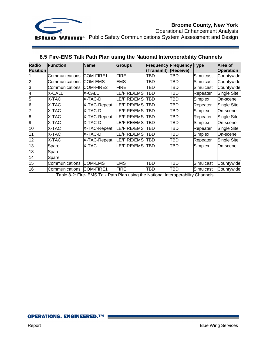

Operational Enhancement Analysis

| <b>Radio</b><br><b>Position</b> | <b>Function</b> | <b>Name</b>      | <b>Groups</b>     | <b>Frequency Frequency Type</b><br>(Transmit) | (Receive) |           | Area of<br><b>Operation</b> |
|---------------------------------|-----------------|------------------|-------------------|-----------------------------------------------|-----------|-----------|-----------------------------|
|                                 | Communications  | <b>COM-FIRE1</b> | <b>FIRE</b>       | TBD                                           | TBD       | Simulcast | Countywide                  |
| $\overline{c}$                  | Communications  | <b>COM-EMS</b>   | EMS               | TBD                                           | TBD       | Simulcast | Countywide                  |
| 3                               | Communications  | COM-FIRE2        | <b>FIRE</b>       | TBD                                           | TBD       | Simulcast | Countywide                  |
| 4                               | X-CALL          | X-CALL           | E/FIRE/EMS        | TBD                                           | TBD       | Repeater  | Single Site                 |
| 5                               | X-TAC           | X-TAC-D          | E/FIRE/EMS        | TBD                                           | TBD       | Simplex   | On-scene                    |
| 6                               | X-TAC           | X-TAC-Repeat     | <b>E/FIRE/EMS</b> | TBD                                           | TBD       | Repeater  | Single Site                 |
| 7                               | X-TAC           | X-TAC-D          | E/FIRE/EMS.       | TBD                                           | TBD       | Simplex   | On-scene                    |
| 8                               | X-TAC           | X-TAC-Repeat     | LE/FIRE/EMS       | TBD                                           | TBD       | Repeater  | Single Site                 |
| 9                               | X-TAC           | X-TAC-D          | E/FIRE/EMS        | TBD                                           | TBD       | Simplex   | On-scene                    |
| 10                              | X-TAC           | X-TAC-Repeat     | LE/FIRE/EMS       | TBD                                           | TBD       | Repeater  | Single Site                 |
| 11                              | X-TAC           | X-TAC-D          | E/FIRE/EMS.       | TBD                                           | TBD       | Simplex   | On-scene                    |
| 12                              | X-TAC           | X-TAC-Repeat     | LE/FIRE/EMS       | TBD                                           | TBD       | Repeater  | Single Site                 |
| 13                              | Spare           | X-TAC            | E/FIRE/EMS        | TBD                                           | TBD       | Simplex   | On-scene                    |
| 13                              | Spare           |                  |                   |                                               |           |           |                             |
| 14                              | Spare           |                  |                   |                                               |           |           |                             |
| 15                              | Communications  | <b>COM-EMS</b>   | <b>EMS</b>        | TBD                                           | TBD       | Simulcast | Countywide                  |
| 16                              | Communications  | COM-FIRE1        | <b>FIRE</b>       | TBD                                           | TBD       | Simulcast | Countywide                  |

#### <span id="page-29-0"></span>**8.5 Fire-EMS Talk Path Plan using the National Interoperability Channels**

<span id="page-29-1"></span>Table 8-2: Fire- EMS Talk Path Plan using the National Interoperability Channels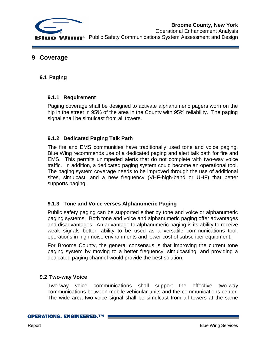

**Broome County, New York** Operational Enhancement Analysis **UIC Wing**<sup>®</sup> Public Safety Communications System Assessment and Design

#### <span id="page-30-0"></span>**9 Coverage**

#### <span id="page-30-1"></span>**9.1 Paging**

#### <span id="page-30-2"></span>**9.1.1 Requirement**

Paging coverage shall be designed to activate alphanumeric pagers worn on the hip in the street in 95% of the area in the County with 95% reliability. The paging signal shall be simulcast from all towers.

#### <span id="page-30-3"></span>**9.1.2 Dedicated Paging Talk Path**

The fire and EMS communities have traditionally used tone and voice paging. Blue Wing recommends use of a dedicated paging and alert talk path for fire and EMS. This permits unimpeded alerts that do not complete with two-way voice traffic. In addition, a dedicated paging system could become an operational tool. The paging system coverage needs to be improved through the use of additional sites, simulcast, and a new frequency (VHF-high-band or UHF) that better supports paging.

#### <span id="page-30-4"></span>**9.1.3 Tone and Voice verses Alphanumeric Paging**

Public safety paging can be supported either by tone and voice or alphanumeric paging systems. Both tone and voice and alphanumeric paging offer advantages and disadvantages. An advantage to alphanumeric paging is its ability to receive weak signals better, ability to be used as a versatile communications tool, operations in high noise environments and lower cost of subscriber equipment.

For Broome County, the general consensus is that improving the current tone paging system by moving to a better frequency, simulcasting, and providing a dedicated paging channel would provide the best solution.

#### <span id="page-30-5"></span>**9.2 Two-way Voice**

Two-way voice communications shall support the effective two-way communications between mobile vehicular units and the communications center. The wide area two-voice signal shall be simulcast from all towers at the same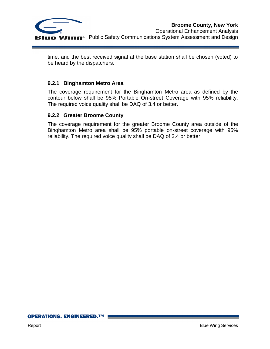

time, and the best received signal at the base station shall be chosen (voted) to be heard by the dispatchers.

#### <span id="page-31-0"></span>**9.2.1 Binghamton Metro Area**

The coverage requirement for the Binghamton Metro area as defined by the contour below shall be 95% Portable On-street Coverage with 95% reliability. The required voice quality shall be DAQ of 3.4 or better.

#### <span id="page-31-1"></span>**9.2.2 Greater Broome County**

The coverage requirement for the greater Broome County area outside of the Binghamton Metro area shall be 95% portable on-street coverage with 95% reliability. The required voice quality shall be DAQ of 3.4 or better.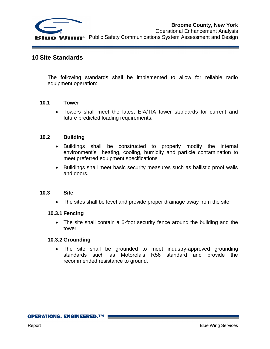

#### <span id="page-32-0"></span>**10 Site Standards**

The following standards shall be implemented to allow for reliable radio equipment operation:

#### <span id="page-32-1"></span>**10.1 Tower**

 Towers shall meet the latest EIA/TIA tower standards for current and future predicted loading requirements.

#### <span id="page-32-2"></span>**10.2 Building**

- Buildings shall be constructed to properly modify the internal environment's heating, cooling, humidity and particle contamination to meet preferred equipment specifications
- Buildings shall meet basic security measures such as ballistic proof walls and doors.

#### <span id="page-32-3"></span>**10.3 Site**

• The sites shall be level and provide proper drainage away from the site

#### <span id="page-32-4"></span>**10.3.1 Fencing**

 The site shall contain a 6-foot security fence around the building and the tower

#### <span id="page-32-5"></span>**10.3.2 Grounding**

 The site shall be grounded to meet industry-approved grounding standards such as Motorola's R56 standard and provide the recommended resistance to ground.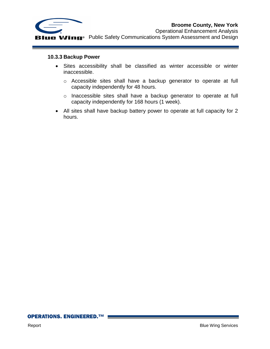

Operational Enhancement Analysis **THE WING**<sup>®</sup> Public Safety Communications System Assessment and Design

#### <span id="page-33-0"></span>**10.3.3 Backup Power**

- Sites accessibility shall be classified as winter accessible or winter inaccessible.
	- o Accessible sites shall have a backup generator to operate at full capacity independently for 48 hours.
	- o Inaccessible sites shall have a backup generator to operate at full capacity independently for 168 hours (1 week).
- All sites shall have backup battery power to operate at full capacity for 2 hours.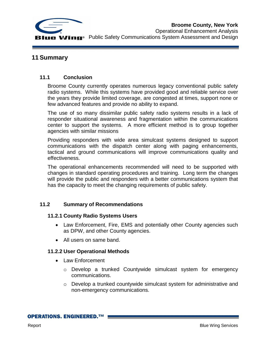

#### <span id="page-34-0"></span>**11 Summary**

#### <span id="page-34-1"></span>**11.1 Conclusion**

Broome County currently operates numerous legacy conventional public safety radio systems. While this systems have provided good and reliable service over the years they provide limited coverage, are congested at times, support none or few advanced features and provide no ability to expand.

The use of so many dissimilar public safety radio systems results in a lack of responder situational awareness and fragmentation within the communications center to support the systems. A more efficient method is to group together agencies with similar missions

Providing responders with wide area simulcast systems designed to support communications with the dispatch center along with paging enhancements, tactical and ground communications will improve communications quality and effectiveness.

The operational enhancements recommended will need to be supported with changes in standard operating procedures and training. Long term the changes will provide the public and responders with a better communications system that has the capacity to meet the changing requirements of public safety.

#### <span id="page-34-3"></span><span id="page-34-2"></span>**11.2 Summary of Recommendations**

#### **11.2.1 County Radio Systems Users**

- Law Enforcement, Fire, EMS and potentially other County agencies such as DPW, and other County agencies.
- All users on same band.

#### <span id="page-34-4"></span>**11.2.2 User Operational Methods**

- Law Enforcement
	- o Develop a trunked Countywide simulcast system for emergency communications.
	- $\circ$  Develop a trunked countywide simulcast system for administrative and non-emergency communications.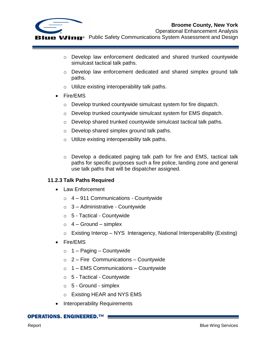

o Develop law enforcement dedicated and shared trunked countywide simulcast tactical talk paths.

- $\circ$  Develop law enforcement dedicated and shared simplex ground talk paths.
- o Utilize existing interoperability talk paths.
- Fire/EMS
	- o Develop trunked countywide simulcast system for fire dispatch.
	- o Develop trunked countywide simulcast system for EMS dispatch.
	- o Develop shared trunked countywide simulcast tactical talk paths.
	- o Develop shared simplex ground talk paths.
	- o Utilize existing interoperability talk paths.
	- o Develop a dedicated paging talk path for fire and EMS, tactical talk paths for specific purposes such a fire police, landing zone and general use talk paths that will be dispatcher assigned.

#### <span id="page-35-0"></span>**11.2.3 Talk Paths Required**

- Law Enforcement
	- $\circ$  4 911 Communications Countywide
	- $\circ$  3 Administrative Countywide
	- o 5 Tactical Countywide
	- $\circ$  4 Ground simplex
	- $\circ$  Existing Interop NYS Interagency, National Interoperability (Existing)
- Fire/EMS
	- $\circ$  1 Paging Countywide
	- $\circ$  2 Fire Communications Countywide
	- $\circ$  1 EMS Communications Countywide
	- $\circ$  5 Tactical Countywide
	- $\circ$  5 Ground simplex
	- o Existing HEAR and NYS EMS
- Interoperability Requirements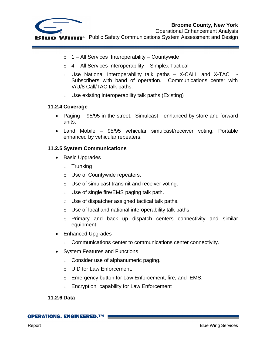



Operational Enhancement Analysis

**IIE Wing**<sup>®</sup> Public Safety Communications System Assessment and Design

- $\circ$  1 All Services Interoperability Countywide
- $\circ$  4 All Services Interoperability Simplex Tactical
- $\circ$  Use National Interoperability talk paths  $-$  X-CALL and X-TAC Subscribers with band of operation. Communications center with V/U/8 Call/TAC talk paths.
- $\circ$  Use existing interoperability talk paths (Existing)

#### <span id="page-36-0"></span>**11.2.4 Coverage**

- Paging 95/95 in the street. Simulcast enhanced by store and forward units.
- Land Mobile 95/95 vehicular simulcast/receiver voting. Portable enhanced by vehicular repeaters.

#### <span id="page-36-1"></span>**11.2.5 System Communications**

- Basic Upgrades
	- o Trunking
	- o Use of Countywide repeaters.
	- o Use of simulcast transmit and receiver voting.
	- o Use of single fire/EMS paging talk path.
	- o Use of dispatcher assigned tactical talk paths.
	- o Use of local and national interoperability talk paths.
	- o Primary and back up dispatch centers connectivity and similar equipment.
- Enhanced Upgrades
	- o Communications center to communications center connectivity.
- System Features and Functions
	- o Consider use of alphanumeric paging.
	- o UID for Law Enforcement.
	- o Emergency button for Law Enforcement, fire, and EMS.
	- o Encryption capability for Law Enforcement

#### <span id="page-36-2"></span>**11.2.6 Data**